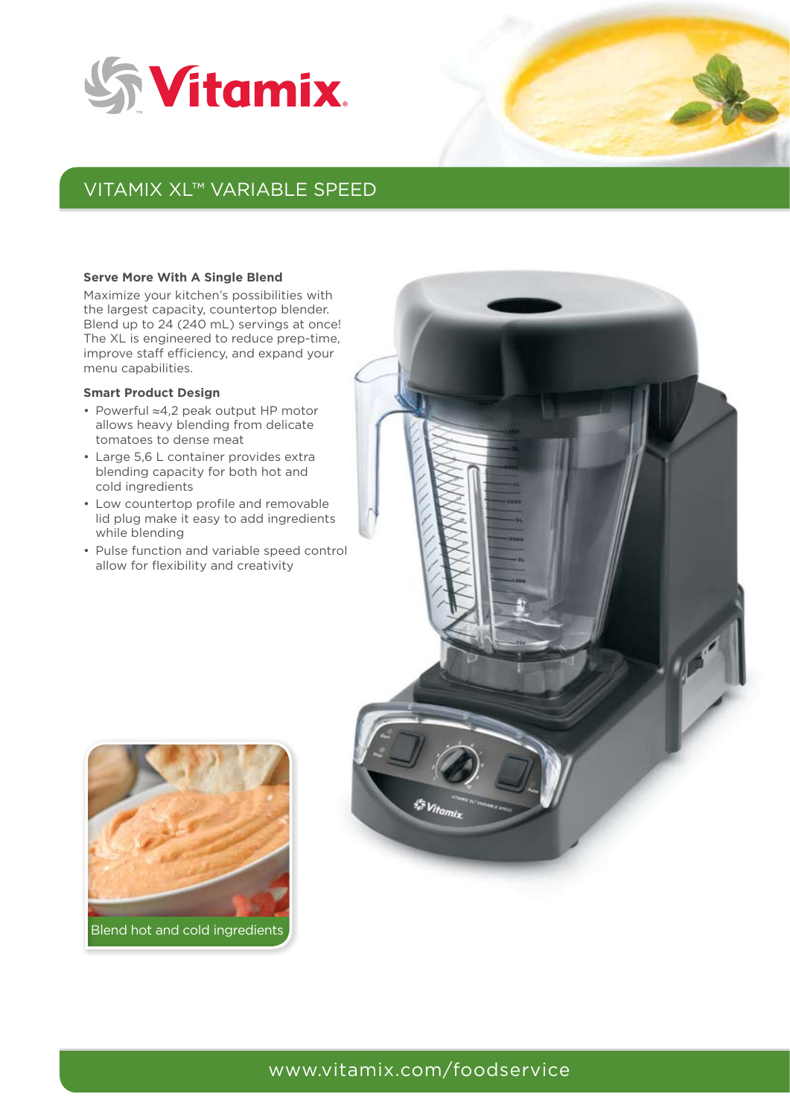



# Vitamix XL™ Variable Speed

#### **Serve More With A Single Blend**

Maximize your kitchen's possibilities with the largest capacity, countertop blender. Blend up to 24 (240 mL) servings at once! The XL is engineered to reduce prep-time, improve staff efficiency, and expand your menu capabilities.

#### **Smart Product Design**

- Powerful ≈4,2 peak output HP motor allows heavy blending from delicate tomatoes to dense meat
- Large 5,6 L container provides extra blending capacity for both hot and cold ingredients
- Low countertop profile and removable lid plug make it easy to add ingredients while blending
- Pulse function and variable speed control allow for flexibility and creativity





# www.vitamix.com/foodservice